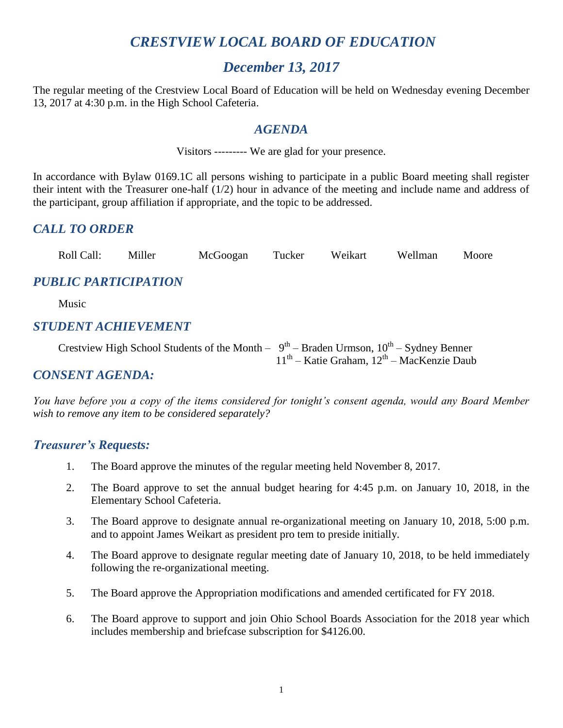# *CRESTVIEW LOCAL BOARD OF EDUCATION*

# *December 13, 2017*

The regular meeting of the Crestview Local Board of Education will be held on Wednesday evening December 13, 2017 at 4:30 p.m. in the High School Cafeteria.

## *AGENDA*

Visitors --------- We are glad for your presence.

In accordance with Bylaw 0169.1C all persons wishing to participate in a public Board meeting shall register their intent with the Treasurer one-half (1/2) hour in advance of the meeting and include name and address of the participant, group affiliation if appropriate, and the topic to be addressed.

## *CALL TO ORDER*

| Roll Call: | Miller |          | Tucker | Weikart | Wellman | Moore |
|------------|--------|----------|--------|---------|---------|-------|
|            |        | McGoogan |        |         |         |       |

# *PUBLIC PARTICIPATION*

Music

## *STUDENT ACHIEVEMENT*

Crestview High School Students of the Month –  $9^{th}$  – Braden Urmson,  $10^{th}$  – Sydney Benner 11<sup>th</sup> – Katie Graham, 12<sup>th</sup> – MacKenzie Daub

## *CONSENT AGENDA:*

*You have before you a copy of the items considered for tonight's consent agenda, would any Board Member wish to remove any item to be considered separately?*

#### *Treasurer's Requests:*

- 1. The Board approve the minutes of the regular meeting held November 8, 2017.
- 2. The Board approve to set the annual budget hearing for 4:45 p.m. on January 10, 2018, in the Elementary School Cafeteria.
- 3. The Board approve to designate annual re-organizational meeting on January 10, 2018, 5:00 p.m. and to appoint James Weikart as president pro tem to preside initially.
- 4. The Board approve to designate regular meeting date of January 10, 2018, to be held immediately following the re-organizational meeting.
- 5. The Board approve the Appropriation modifications and amended certificated for FY 2018.
- 6. The Board approve to support and join Ohio School Boards Association for the 2018 year which includes membership and briefcase subscription for \$4126.00.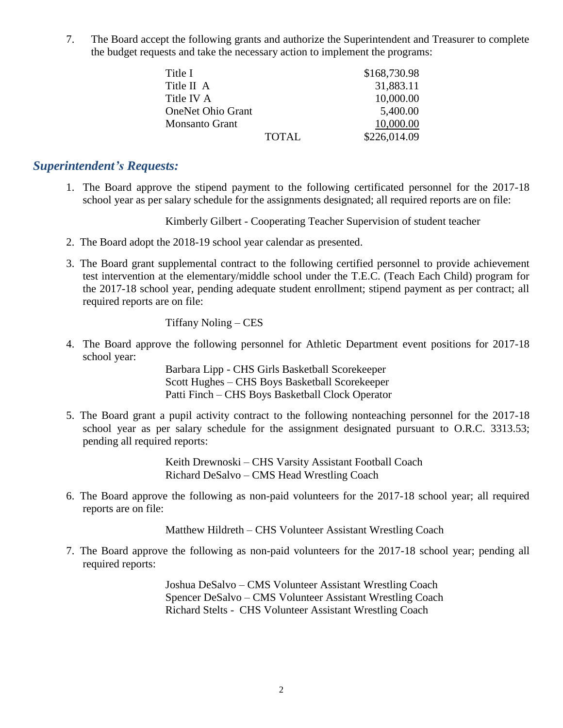7. The Board accept the following grants and authorize the Superintendent and Treasurer to complete the budget requests and take the necessary action to implement the programs:

| Title I                  |              | \$168,730.98 |
|--------------------------|--------------|--------------|
| Title II A               |              | 31,883.11    |
| Title IV A               |              | 10,000.00    |
| <b>OneNet Ohio Grant</b> |              | 5,400.00     |
| <b>Monsanto Grant</b>    |              | 10,000.00    |
|                          | <b>TOTAL</b> | \$226,014.09 |

#### *Superintendent's Requests:*

1. The Board approve the stipend payment to the following certificated personnel for the 2017-18 school year as per salary schedule for the assignments designated; all required reports are on file:

Kimberly Gilbert - Cooperating Teacher Supervision of student teacher

- 2. The Board adopt the 2018-19 school year calendar as presented.
- 3. The Board grant supplemental contract to the following certified personnel to provide achievement test intervention at the elementary/middle school under the T.E.C. (Teach Each Child) program for the 2017-18 school year, pending adequate student enrollment; stipend payment as per contract; all required reports are on file:

#### Tiffany Noling – CES

4. The Board approve the following personnel for Athletic Department event positions for 2017-18 school year:

> Barbara Lipp - CHS Girls Basketball Scorekeeper Scott Hughes – CHS Boys Basketball Scorekeeper Patti Finch – CHS Boys Basketball Clock Operator

5. The Board grant a pupil activity contract to the following nonteaching personnel for the 2017-18 school year as per salary schedule for the assignment designated pursuant to O.R.C. 3313.53; pending all required reports:

> Keith Drewnoski – CHS Varsity Assistant Football Coach Richard DeSalvo – CMS Head Wrestling Coach

6. The Board approve the following as non-paid volunteers for the 2017-18 school year; all required reports are on file:

Matthew Hildreth – CHS Volunteer Assistant Wrestling Coach

7. The Board approve the following as non-paid volunteers for the 2017-18 school year; pending all required reports:

> Joshua DeSalvo – CMS Volunteer Assistant Wrestling Coach Spencer DeSalvo – CMS Volunteer Assistant Wrestling Coach Richard Stelts - CHS Volunteer Assistant Wrestling Coach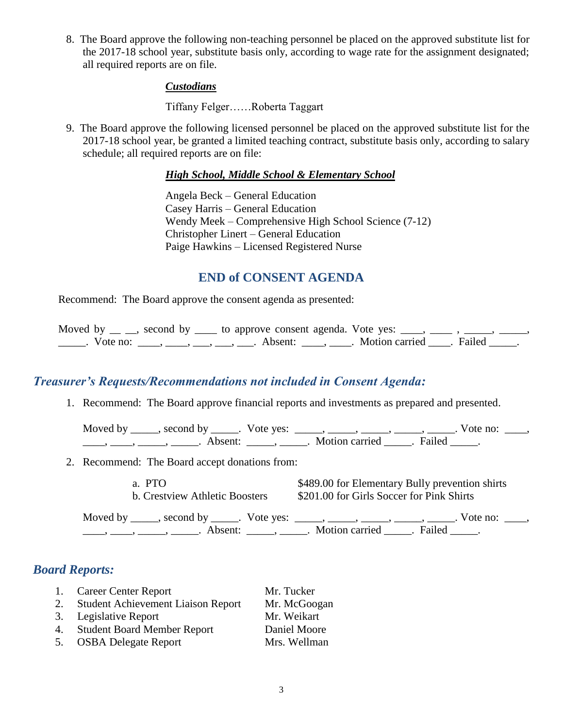8. The Board approve the following non-teaching personnel be placed on the approved substitute list for the 2017-18 school year, substitute basis only, according to wage rate for the assignment designated; all required reports are on file.

#### *Custodians*

Tiffany Felger……Roberta Taggart

9. The Board approve the following licensed personnel be placed on the approved substitute list for the 2017-18 school year, be granted a limited teaching contract, substitute basis only, according to salary schedule; all required reports are on file:

#### *High School, Middle School & Elementary School*

Angela Beck – General Education Casey Harris – General Education Wendy Meek – Comprehensive High School Science (7-12) Christopher Linert – General Education Paige Hawkins – Licensed Registered Nurse

## **END of CONSENT AGENDA**

Recommend: The Board approve the consent agenda as presented:

Moved by  $\_\_$ , second by  $\_\_$  to approve consent agenda. Vote yes:  $\_\_$ , \_\_\_\_\_\_. Vote no: \_\_\_\_, \_\_\_, \_\_\_, \_\_\_, \_\_\_, Absent: \_\_\_\_, \_\_\_\_. Motion carried \_\_\_\_. Failed \_\_\_\_\_.

## *Treasurer's Requests/Recommendations not included in Consent Agenda:*

1. Recommend: The Board approve financial reports and investments as prepared and presented.

Moved by \_\_\_\_\_, second by \_\_\_\_\_. Vote yes:  $\_\_\_\_\_\_\_\_\_\_\_\_\_\_\_$  \_\_\_\_, \_\_\_\_, \_\_\_\_. Vote no:  $\_\_\_\_\_\$ \_\_\_\_\_, \_\_\_\_\_\_, \_\_\_\_\_\_\_. Absent: \_\_\_\_\_\_, \_\_\_\_\_\_. Motion carried \_\_\_\_\_\_. Failed \_\_\_\_\_.

2. Recommend: The Board accept donations from:

a. PTO \$489.00 for Elementary Bully prevention shirts b. Crestview Athletic Boosters \$201.00 for Girls Soccer for Pink Shirts

Moved by \_\_\_\_\_, second by \_\_\_\_\_. Vote yes: \_\_\_\_\_, \_\_\_\_\_, \_\_\_\_\_, \_\_\_\_\_, \_\_\_\_\_. Vote no: \_\_\_\_, ——, ——, ——, ———, Absent: \_\_\_\_, \_\_\_\_\_. Motion carried \_\_\_\_\_. Failed \_\_\_\_\_.

## *Board Reports:*

|    | 1. Career Center Report                   | Mr. Tucker   |
|----|-------------------------------------------|--------------|
| 2. | <b>Student Achievement Liaison Report</b> | Mr. McGoogan |
|    | 3. Legislative Report                     | Mr. Weikart  |
|    | <b>Student Board Member Report</b>        | Daniel Moore |
| 5. | <b>OSBA Delegate Report</b>               | Mrs. Wellman |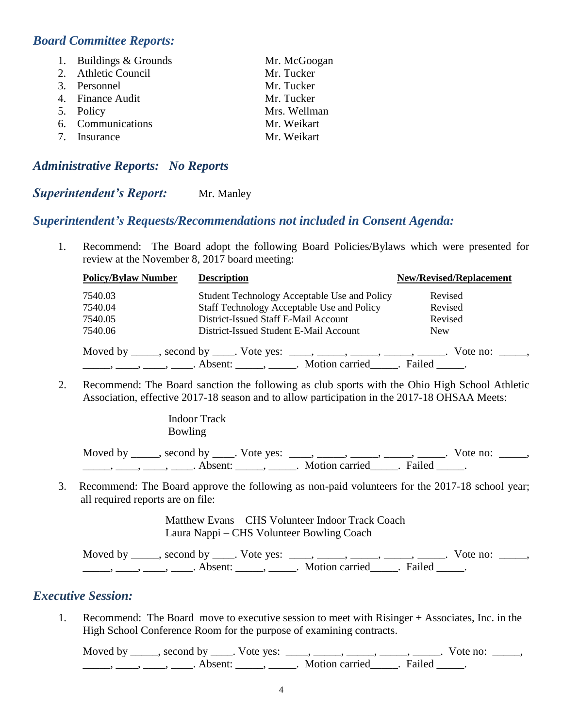## *Board Committee Reports:*

| 1. Buildings & Grounds | Mr. McGoogan |
|------------------------|--------------|
| 2. Athletic Council    | Mr. Tucker   |
| 3. Personnel           | Mr. Tucker   |
| 4. Finance Audit       | Mr. Tucker   |
| 5. Policy              | Mrs. Wellman |
| 6. Communications      | Mr. Weikart  |
| 7. Insurance           | Mr. Weikart  |
|                        |              |

#### *Administrative Reports: No Reports*

#### **Superintendent's Report:** Mr. Manley

#### *Superintendent's Requests/Recommendations not included in Consent Agenda:*

1. Recommend: The Board adopt the following Board Policies/Bylaws which were presented for review at the November 8, 2017 board meeting:

| <b>Policy/Bylaw Number</b> | <b>Description</b>                                                             | <b>New/Revised/Replacement</b> |
|----------------------------|--------------------------------------------------------------------------------|--------------------------------|
| 7540.03                    | Student Technology Acceptable Use and Policy                                   | Revised                        |
| 7540.04                    | Staff Technology Acceptable Use and Policy                                     | Revised                        |
| 7540.05                    | District-Issued Staff E-Mail Account                                           | Revised                        |
| 7540.06                    | District-Issued Student E-Mail Account                                         | <b>New</b>                     |
|                            | Moved by _____, second by _____. Vote yes: _____, _____, _____, _____, ______. | Vote no: $\_\_\_\_\_\$         |
|                            |                                                                                |                                |

2. Recommend: The Board sanction the following as club sports with the Ohio High School Athletic Association, effective 2017-18 season and to allow participation in the 2017-18 OHSAA Meets:

> Indoor Track Bowling

Moved by \_\_\_\_\_, second by \_\_\_\_. Vote yes:  $\frac{1}{\sqrt{2}}$ , \_\_\_\_, \_\_\_\_, \_\_\_\_, \_\_\_\_. Vote no: \_\_\_\_, \_\_\_\_\_\_, \_\_\_\_\_, \_\_\_\_\_\_. Absent: \_\_\_\_\_\_, \_\_\_\_\_\_. Motion carried \_\_\_\_\_\_. Failed \_\_\_\_\_.

3. Recommend: The Board approve the following as non-paid volunteers for the 2017-18 school year; all required reports are on file:

> Matthew Evans – CHS Volunteer Indoor Track Coach Laura Nappi – CHS Volunteer Bowling Coach

Moved by \_\_\_\_\_, second by \_\_\_\_\_. Vote yes: \_\_\_\_\_, \_\_\_\_\_, \_\_\_\_\_, \_\_\_\_\_, \_\_\_\_\_. Vote no: \_\_\_\_\_, \_\_\_\_\_, \_\_\_\_, \_\_\_\_, Absent: \_\_\_\_\_, \_\_\_\_\_. Motion carried \_\_\_\_\_. Failed \_\_\_\_\_.

#### *Executive Session:*

1. Recommend: The Board move to executive session to meet with Risinger + Associates, Inc. in the High School Conference Room for the purpose of examining contracts.

Moved by \_\_\_\_\_, second by \_\_\_\_\_. Vote yes: \_\_\_\_\_, \_\_\_\_\_\_, \_\_\_\_\_\_, \_\_\_\_\_\_, Vote no: \_\_\_\_\_, \_\_\_\_\_\_, \_\_\_\_\_, \_\_\_\_\_\_. Absent: \_\_\_\_\_\_, \_\_\_\_\_\_. Motion carried \_\_\_\_\_. Failed \_\_\_\_\_.